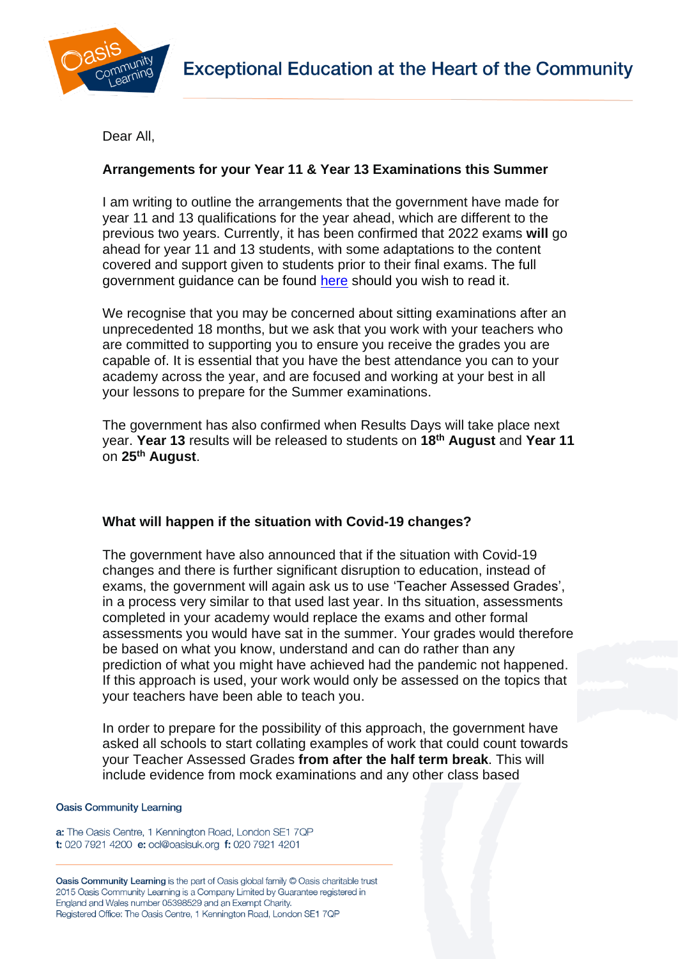

Dear All,

# **Arrangements for your Year 11 & Year 13 Examinations this Summer**

I am writing to outline the arrangements that the government have made for year 11 and 13 qualifications for the year ahead, which are different to the previous two years. Currently, it has been confirmed that 2022 exams **will** go ahead for year 11 and 13 students, with some adaptations to the content covered and support given to students prior to their final exams. The full government guidance can be found [here](https://www.gov.uk/government/consultations/proposed-changes-to-the-assessment-of-gcses-as-and-a-levels-in-2022/outcome/decisions-proposed-changes-to-the-assessment-of-gcses-as-and-a-levels-in-2022) should you wish to read it.

We recognise that you may be concerned about sitting examinations after an unprecedented 18 months, but we ask that you work with your teachers who are committed to supporting you to ensure you receive the grades you are capable of. It is essential that you have the best attendance you can to your academy across the year, and are focused and working at your best in all your lessons to prepare for the Summer examinations.

The government has also confirmed when Results Days will take place next year. **Year 13** results will be released to students on **18th August** and **Year 11** on **25th August**.

## **What will happen if the situation with Covid-19 changes?**

The government have also announced that if the situation with Covid-19 changes and there is further significant disruption to education, instead of exams, the government will again ask us to use 'Teacher Assessed Grades', in a process very similar to that used last year. In ths situation, assessments completed in your academy would replace the exams and other formal assessments you would have sat in the summer. Your grades would therefore be based on what you know, understand and can do rather than any prediction of what you might have achieved had the pandemic not happened. If this approach is used, your work would only be assessed on the topics that your teachers have been able to teach you.

In order to prepare for the possibility of this approach, the government have asked all schools to start collating examples of work that could count towards your Teacher Assessed Grades **from after the half term break**. This will include evidence from mock examinations and any other class based

### **Oasis Community Learning**

a: The Oasis Centre, 1 Kennington Road, London SE1 7QP t: 020 7921 4200 e: ocl@oasisuk.org f: 020 7921 4201

Oasis Community Learning is the part of Oasis global family © Oasis charitable trust 2015 Oasis Community Learning is a Company Limited by Guarantee registered in England and Wales number 05398529 and an Exempt Charity. Registered Office: The Oasis Centre, 1 Kennington Road, London SE1 7QP